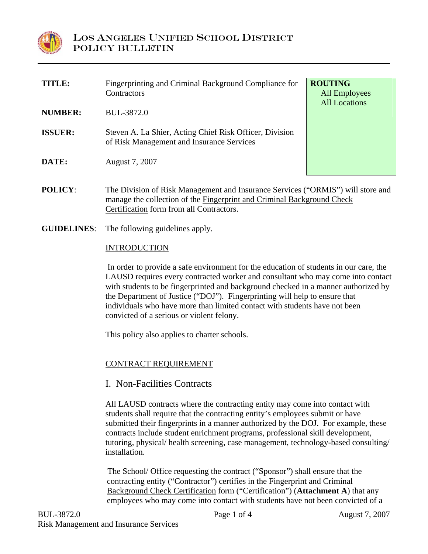

| <b>TITLE:</b>  | Fingerprinting and Criminal Background Compliance for<br>Contractors                                                                                      | <b>ROUTING</b><br><b>All Employees</b><br><b>All Locations</b> |
|----------------|-----------------------------------------------------------------------------------------------------------------------------------------------------------|----------------------------------------------------------------|
| <b>NUMBER:</b> | BUL-3872.0                                                                                                                                                |                                                                |
| <b>ISSUER:</b> | Steven A. La Shier, Acting Chief Risk Officer, Division<br>of Risk Management and Insurance Services                                                      |                                                                |
| DATE:          | August 7, 2007                                                                                                                                            |                                                                |
| <b>POLICY:</b> | The Division of Risk Management and Insurance Services ("ORMIS") will store and<br>manage the collection of the Fingerprint and Criminal Background Check |                                                                |

**GUIDELINES**: The following guidelines apply.

## INTRODUCTION

 In order to provide a safe environment for the education of students in our care, the LAUSD requires every contracted worker and consultant who may come into contact with students to be fingerprinted and background checked in a manner authorized by the Department of Justice ("DOJ"). Fingerprinting will help to ensure that individuals who have more than limited contact with students have not been convicted of a serious or violent felony.

This policy also applies to charter schools.

Certification form from all Contractors.

## CONTRACT REQUIREMENT

## I. Non-Facilities Contracts

All LAUSD contracts where the contracting entity may come into contact with students shall require that the contracting entity's employees submit or have submitted their fingerprints in a manner authorized by the DOJ. For example, these contracts include student enrichment programs, professional skill development, tutoring, physical/ health screening, case management, technology-based consulting/ installation.

 The School/ Office requesting the contract ("Sponsor") shall ensure that the contracting entity ("Contractor") certifies in the Fingerprint and Criminal Background Check Certification form ("Certification") (**Attachment A**) that any employees who may come into contact with students have not been convicted of a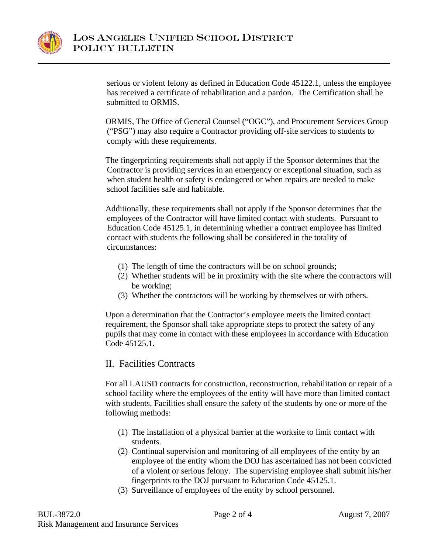

serious or violent felony as defined in Education Code 45122.1, unless the employee has received a certificate of rehabilitation and a pardon. The Certification shall be submitted to ORMIS.

ORMIS, The Office of General Counsel ("OGC"), and Procurement Services Group ("PSG") may also require a Contractor providing off-site services to students to comply with these requirements.

The fingerprinting requirements shall not apply if the Sponsor determines that the Contractor is providing services in an emergency or exceptional situation, such as when student health or safety is endangered or when repairs are needed to make school facilities safe and habitable.

Additionally, these requirements shall not apply if the Sponsor determines that the employees of the Contractor will have limited contact with students. Pursuant to Education Code 45125.1, in determining whether a contract employee has limited contact with students the following shall be considered in the totality of circumstances:

- (1) The length of time the contractors will be on school grounds;
- (2) Whether students will be in proximity with the site where the contractors will be working;
- (3) Whether the contractors will be working by themselves or with others.

Upon a determination that the Contractor's employee meets the limited contact requirement, the Sponsor shall take appropriate steps to protect the safety of any pupils that may come in contact with these employees in accordance with Education Code 45125.1.

# II. Facilities Contracts

For all LAUSD contracts for construction, reconstruction, rehabilitation or repair of a school facility where the employees of the entity will have more than limited contact with students, Facilities shall ensure the safety of the students by one or more of the following methods:

- (1) The installation of a physical barrier at the worksite to limit contact with students.
- (2) Continual supervision and monitoring of all employees of the entity by an employee of the entity whom the DOJ has ascertained has not been convicted of a violent or serious felony. The supervising employee shall submit his/her fingerprints to the DOJ pursuant to Education Code 45125.1.
- (3) Surveillance of employees of the entity by school personnel.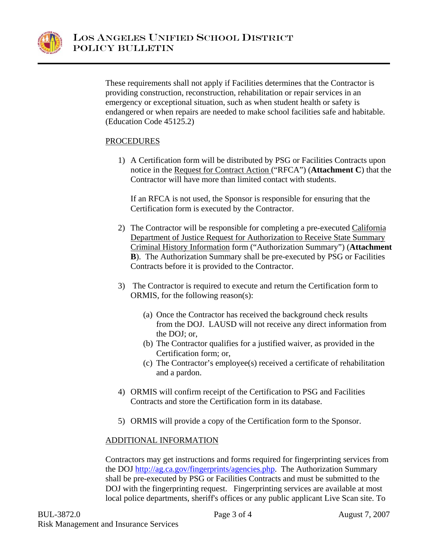

These requirements shall not apply if Facilities determines that the Contractor is providing construction, reconstruction, rehabilitation or repair services in an emergency or exceptional situation, such as when student health or safety is endangered or when repairs are needed to make school facilities safe and habitable. (Education Code 45125.2)

## PROCEDURES

1) A Certification form will be distributed by PSG or Facilities Contracts upon notice in the Request for Contract Action ("RFCA") (**Attachment C**) that the Contractor will have more than limited contact with students.

If an RFCA is not used, the Sponsor is responsible for ensuring that the Certification form is executed by the Contractor.

- 2) The Contractor will be responsible for completing a pre-executed California Department of Justice Request for Authorization to Receive State Summary Criminal History Information form ("Authorization Summary") (**Attachment B**). The Authorization Summary shall be pre-executed by PSG or Facilities Contracts before it is provided to the Contractor.
- 3) The Contractor is required to execute and return the Certification form to ORMIS, for the following reason(s):
	- (a) Once the Contractor has received the background check results from the DOJ. LAUSD will not receive any direct information from the DOJ; or,
	- (b) The Contractor qualifies for a justified waiver, as provided in the Certification form; or,
	- (c) The Contractor's employee(s) received a certificate of rehabilitation and a pardon.
- 4) ORMIS will confirm receipt of the Certification to PSG and Facilities Contracts and store the Certification form in its database.
- 5) ORMIS will provide a copy of the Certification form to the Sponsor.

## ADDITIONAL INFORMATION

Contractors may get instructions and forms required for fingerprinting services from the DOJ http://ag.ca.gov/fingerprints/agencies.php. The Authorization Summary shall be pre-executed by PSG or Facilities Contracts and must be submitted to the DOJ with the fingerprinting request. Fingerprinting services are available at most local police departments, sheriff's offices or any public applicant Live Scan site. To